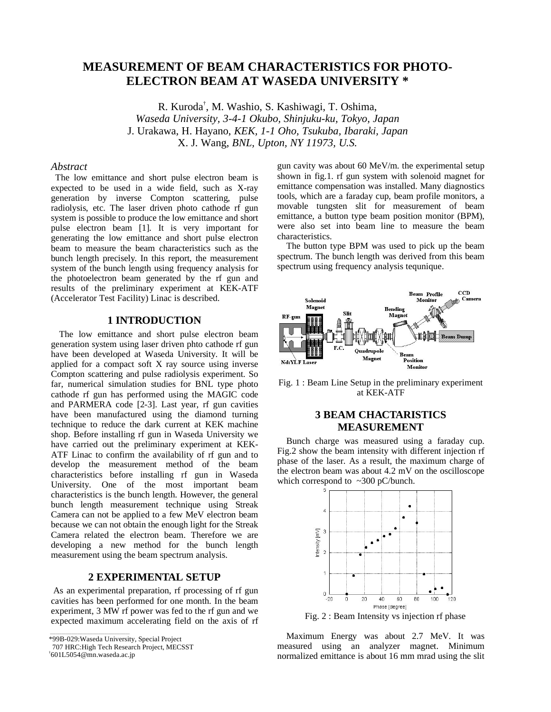# **MEASUREMENT OF BEAM CHARACTERISTICS FOR PHOTO-ELECTRON BEAM AT WASEDA UNIVERSITY \***

R. Kuroda† , M. Washio, S. Kashiwagi, T. Oshima, *Waseda University, 3-4-1 Okubo, Shinjuku-ku, Tokyo, Japan*  J. Urakawa, H. Hayano, *KEK, 1-1 Oho, Tsukuba, Ibaraki, Japan* X. J. Wang, *BNL, Upton, NY 11973, U.S.*

#### *Abstract*

 The low emittance and short pulse electron beam is expected to be used in a wide field, such as X-ray generation by inverse Compton scattering, pulse radiolysis, etc. The laser driven photo cathode rf gun system is possible to produce the low emittance and short pulse electron beam [1]. It is very important for generating the low emittance and short pulse electron beam to measure the beam characteristics such as the bunch length precisely. In this report, the measurement system of the bunch length using frequency analysis for the photoelectron beam generated by the rf gun and results of the preliminary experiment at KEK-ATF (Accelerator Test Facility) Linac is described.

### **1 INTRODUCTION**

The low emittance and short pulse electron beam generation system using laser driven phto cathode rf gun have been developed at Waseda University. It will be applied for a compact soft X ray source using inverse Compton scattering and pulse radiolysis experiment. So far, numerical simulation studies for BNL type photo cathode rf gun has performed using the MAGIC code and PARMERA code [2-3]. Last year, rf gun cavities have been manufactured using the diamond turning technique to reduce the dark current at KEK machine shop. Before installing rf gun in Waseda University we have carried out the preliminary experiment at KEK-ATF Linac to confirm the availability of rf gun and to develop the measurement method of the beam characteristics before installing rf gun in Waseda University. One of the most important beam characteristics is the bunch length. However, the general bunch length measurement technique using Streak Camera can not be applied to a few MeV electron beam because we can not obtain the enough light for the Streak Camera related the electron beam. Therefore we are developing a new method for the bunch length measurement using the beam spectrum analysis.

### **2 EXPERIMENTAL SETUP**

 As an experimental preparation, rf processing of rf gun cavities has been performed for one month. In the beam experiment, 3 MW rf power was fed to the rf gun and we expected maximum accelerating field on the axis of rf

\*99B-029: Waseda University, Special Project

gun cavity was about 60 MeV/m. the experimental setup shown in fig.1. rf gun system with solenoid magnet for emittance compensation was installed. Many diagnostics tools, which are a faraday cup, beam profile monitors, a movable tungsten slit for measurement of beam emittance, a button type beam position monitor (BPM), were also set into beam line to measure the beam characteristics.

The button type BPM was used to pick up the beam spectrum. The bunch length was derived from this beam spectrum using frequency analysis tequnique.



Fig. 1 : Beam Line Setup in the preliminary experiment at KEK-ATF

### **3 BEAM CHACTARISTICS MEASUREMENT**

Bunch charge was measured using a faraday cup. Fig.2 show the beam intensity with different injection rf phase of the laser. As a result, the maximum charge of the electron beam was about 4.2 mV on the oscilloscope which correspond to  $\sim$ 300 pC/bunch.



Fig. 2 : Beam Intensity vs injection rf phase

Maximum Energy was about 2.7 MeV. It was measured using an analyzer magnet. Minimum normalized emittance is about 16 mm mrad using the slit

 <sup>707</sup> HRC:High Tech Research Project, MECSST

<sup>†</sup> 601L5054@mn.waseda.ac.jp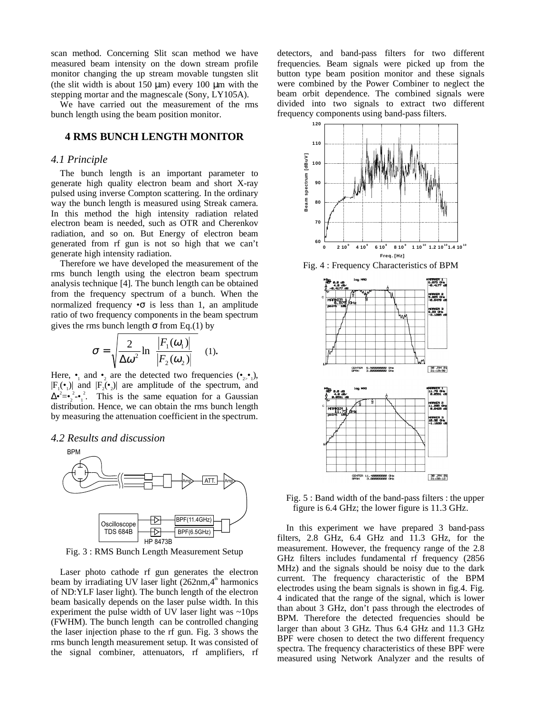scan method. Concerning Slit scan method we have measured beam intensity on the down stream profile monitor changing the up stream movable tungsten slit (the slit width is about  $150 \mu m$ ) every 100  $\mu m$  with the stepping mortar and the magnescale (Sony, LY105A).

We have carried out the measurement of the rms bunch length using the beam position monitor.

## **4 RMS BUNCH LENGTH MONITOR**

#### *4.1 Principle*

The bunch length is an important parameter to generate high quality electron beam and short X-ray pulsed using inverse Compton scattering. In the ordinary way the bunch length is measured using Streak camera. In this method the high intensity radiation related electron beam is needed, such as OTR and Cherenkov radiation, and so on. But Energy of electron beam generated from rf gun is not so high that we can't generate high intensity radiation.

Therefore we have developed the measurement of the rms bunch length using the electron beam spectrum analysis technique [4]. The bunch length can be obtained from the frequency spectrum of a bunch. When the normalized frequency  $\bullet \sigma$  is less than 1, an amplitude ratio of two frequency components in the beam spectrum gives the rms bunch length  $\sigma$  from Eq.(1) by

$$
\sigma = \sqrt{\frac{2}{\Delta \omega^2} \ln \left\{ \frac{|F_1(\omega_1)|}{|F_2(\omega_2)|} \right\}} \quad (1).
$$

Here,  $\bullet$  and  $\bullet$ , are the detected two frequencies  $(\bullet,\bullet)$ ,  $|F_1(\bullet)$  and  $|F_2(\bullet)$  are amplitude of the spectrum, and  $\Delta^{\bullet^2} = \bullet_2^2 \cdot \bullet_1^2$ . This is the same equation for a Gaussian distribution. Hence, we can obtain the rms bunch length by measuring the attenuation coefficient in the spectrum.

#### *4.2 Results and discussion*



Fig. 3 : RMS Bunch Length Measurement Setup

Laser photo cathode rf gun generates the electron beam by irradiating UV laser light  $(262nm,4<sup>th</sup>$  harmonics of ND:YLF laser light). The bunch length of the electron beam basically depends on the laser pulse width. In this experiment the pulse width of UV laser light was  $\sim 10 \text{ps}$ (FWHM). The bunch length can be controlled changing the laser injection phase to the rf gun. Fig. 3 shows the rms bunch length measurement setup. It was consisted of the signal combiner, attenuators, rf amplifiers, rf detectors, and band-pass filters for two different frequencies. Beam signals were picked up from the button type beam position monitor and these signals were combined by the Power Combiner to neglect the beam orbit dependence. The combined signals were divided into two signals to extract two different frequency components using band-pass filters.



Fig. 4 : Frequency Characteristics of BPM



Fig. 5 : Band width of the band-pass filters : the upper figure is 6.4 GHz; the lower figure is 11.3 GHz.

In this experiment we have prepared 3 band-pass filters, 2.8 GHz, 6.4 GHz and 11.3 GHz, for the measurement. However, the frequency range of the 2.8 GHz filters includes fundamental rf frequency (2856 MHz) and the signals should be noisy due to the dark current. The frequency characteristic of the BPM electrodes using the beam signals is shown in fig.4. Fig. 4 indicated that the range of the signal, which is lower than about 3 GHz, don't pass through the electrodes of BPM. Therefore the detected frequencies should be larger than about 3 GHz. Thus 6.4 GHz and 11.3 GHz BPF were chosen to detect the two different frequency spectra. The frequency characteristics of these BPF were measured using Network Analyzer and the results of